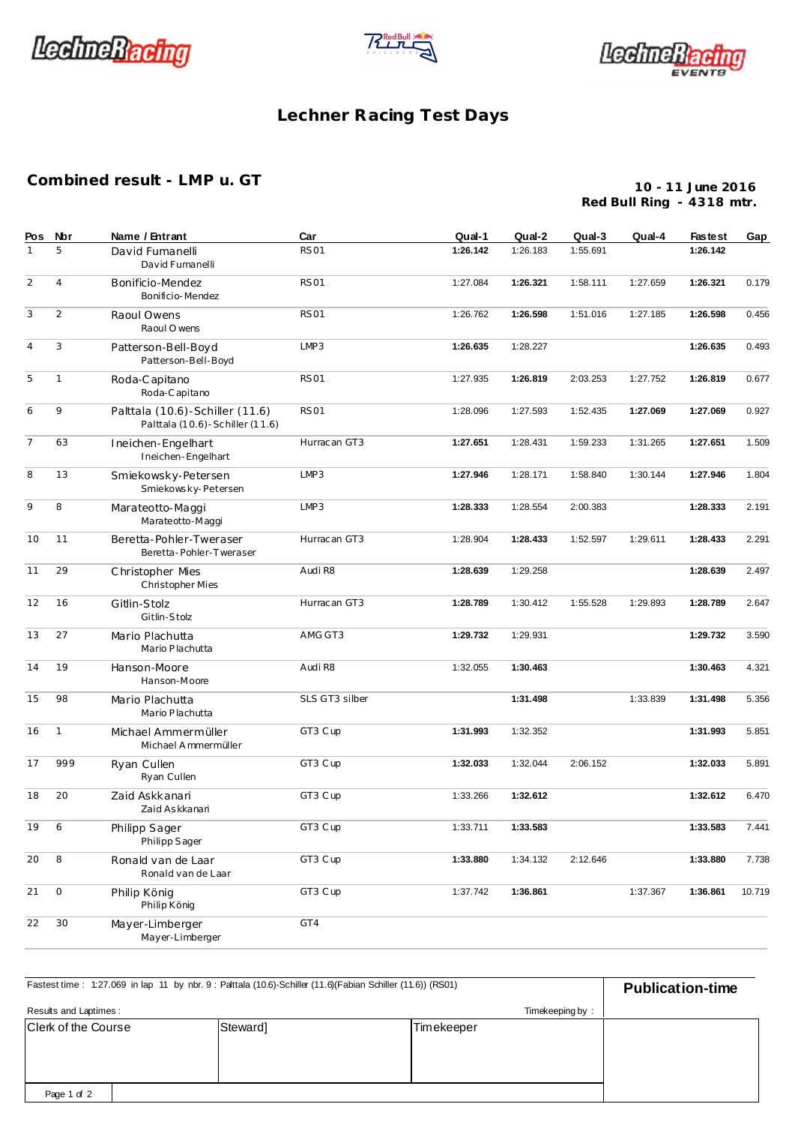





## **Lechner Racing Test Days**

## **Combined result - LMP u. GT**

**10 - 11 June 2016 Red Bull Ring - 4318 mtr.**

| Pos            | Nbr            | Name / Entrant                                                       | Car            | Qual-1   | Qual-2   | Qual-3   | Qual-4   | <b>Fastest</b> | Gap    |
|----------------|----------------|----------------------------------------------------------------------|----------------|----------|----------|----------|----------|----------------|--------|
| $\mathbf{1}$   | 5              | David Fumanelli<br>David Fumanelli                                   | <b>RS01</b>    | 1:26.142 | 1:26.183 | 1:55.691 |          | 1:26.142       |        |
| 2              | $\overline{4}$ | Bonificio-Mendez<br>Bonificio-Mendez                                 | <b>RS01</b>    | 1:27.084 | 1:26.321 | 1:58.111 | 1:27.659 | 1:26.321       | 0.179  |
| 3              | 2              | Raoul Owens<br>Raoul O wens                                          | <b>RS01</b>    | 1:26.762 | 1:26.598 | 1:51.016 | 1:27.185 | 1:26.598       | 0.456  |
| $\overline{4}$ | 3              | Patterson-Bell-Boyd<br>Patterson-Bell-Boyd                           | LMP3           | 1:26.635 | 1:28.227 |          |          | 1:26.635       | 0.493  |
| 5              | $\mathbf{1}$   | Roda-Capitano<br>Roda-Capitano                                       | <b>RS01</b>    | 1:27.935 | 1:26.819 | 2:03.253 | 1:27.752 | 1:26.819       | 0.677  |
| 6              | 9              | Palttala (10.6)-Schiller (11.6)<br>Palttala (10.6) - Schiller (11.6) | <b>RS01</b>    | 1:28.096 | 1:27.593 | 1:52.435 | 1:27.069 | 1:27.069       | 0.927  |
| $\overline{7}$ | 63             | Ineichen-Engelhart<br>Ineichen-Engelhart                             | Hurrac an GT3  | 1:27.651 | 1:28.431 | 1:59.233 | 1:31.265 | 1:27.651       | 1.509  |
| 8              | 13             | Smiekowsky-Petersen<br>Smiekowsky-Petersen                           | LMP3           | 1:27.946 | 1:28.171 | 1:58.840 | 1:30.144 | 1:27.946       | 1.804  |
| 9              | 8              | Marateotto-Maggi<br>Marateotto-Maggi                                 | LMP3           | 1:28.333 | 1:28.554 | 2:00.383 |          | 1:28.333       | 2.191  |
| 10             | 11             | Beretta-Pohler-Tweraser<br>Beretta-Pohler-Tweraser                   | Hurrac an GT3  | 1:28.904 | 1:28.433 | 1:52.597 | 1:29.611 | 1:28.433       | 2.291  |
| 11             | 29             | Christopher Mies<br>Christopher Mies                                 | Audi R8        | 1:28.639 | 1:29.258 |          |          | 1:28.639       | 2.497  |
| 12             | 16             | Gitlin-Stolz<br>Gitlin-Stolz                                         | Hurrac an GT3  | 1:28.789 | 1:30.412 | 1:55.528 | 1:29.893 | 1:28.789       | 2.647  |
| 13             | 27             | Mario Plachutta<br>Mario Plachutta                                   | AMG GT3        | 1:29.732 | 1:29.931 |          |          | 1:29.732       | 3.590  |
| 14             | 19             | Hanson-Moore<br>Hanson-Moore                                         | Audi R8        | 1:32.055 | 1:30.463 |          |          | 1:30.463       | 4.321  |
| 15             | 98             | Mario Plachutta<br>Mario Plachutta                                   | SLS GT3 silber |          | 1:31.498 |          | 1:33.839 | 1:31.498       | 5.356  |
| 16             | 1              | Michael Ammermüller<br>Michael Ammermüller                           | GT3 Cup        | 1:31.993 | 1:32.352 |          |          | 1:31.993       | 5.851  |
| 17             | 999            | Ryan Cullen<br>Ryan Cullen                                           | GT3 Cup        | 1:32.033 | 1:32.044 | 2:06.152 |          | 1:32.033       | 5.891  |
| 18             | 20             | Zaid Askkanari<br>Zaid Askkanari                                     | GT3 Cup        | 1:33.266 | 1:32.612 |          |          | 1:32.612       | 6.470  |
| 19             | 6              | Philipp Sager<br>Philipp Sager                                       | GT3 Cup        | 1:33.711 | 1:33.583 |          |          | 1:33.583       | 7.441  |
| 20             | 8              | Ronald van de Laar<br>Ronald van de Laar                             | GT3 Cup        | 1:33.880 | 1:34.132 | 2:12.646 |          | 1:33.880       | 7.738  |
| 21             | $\circ$        | Philip König<br>Philip König                                         | GT3 Cup        | 1:37.742 | 1:36.861 |          | 1:37.367 | 1:36.861       | 10.719 |
| 22             | 30             | Mayer-Limberger<br>Mayer-Limberger                                   | GT4            |          |          |          |          |                |        |

Clerk of the Course **Steward** Steward] **Timekeeper Publication-time** : 1:27.069 in lap 11 by nbr. 9 : Palttala (10.6)-Schiller (11.6)(Fabian Schiller (11.6)) (RS01) Results and Laptimes : Timekeeping by : Page 1 of 2